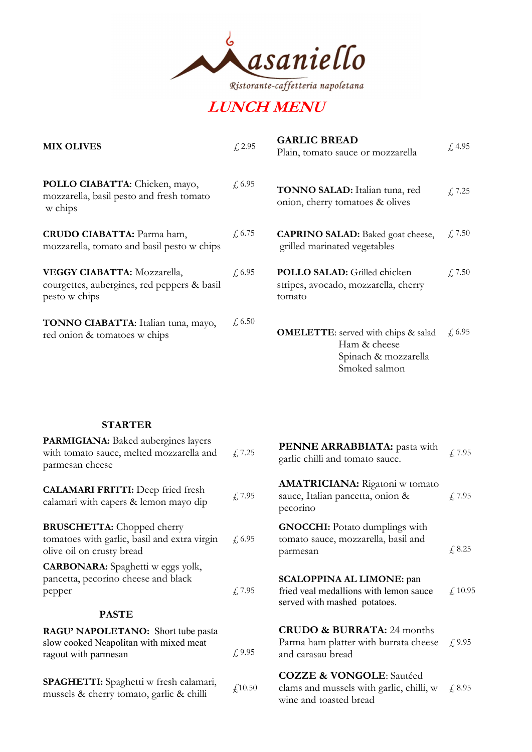

## LUNCH MENU

| <b>MIX OLIVES</b>                                                                                  | f. 2.95       | <b>GARLIC BREAD</b><br>Plain, tomato sauce or mozzarella                                            | f, 4.95           |
|----------------------------------------------------------------------------------------------------|---------------|-----------------------------------------------------------------------------------------------------|-------------------|
| POLLO CIABATTA: Chicken, mayo,<br>mozzarella, basil pesto and fresh tomato<br>w chips              | $\sqrt{6.95}$ | TONNO SALAD: Italian tuna, red<br>onion, cherry tomatoes & olives                                   | f, 7.25           |
| <b>CRUDO CIABATTA:</b> Parma ham,<br>mozzarella, tomato and basil pesto w chips                    | $\int$ , 6.75 | <b>CAPRINO SALAD:</b> Baked goat cheese,<br>grilled marinated vegetables                            | $\sqrt{2}$ , 7.50 |
| <b>VEGGY CIABATTA: Mozzarella,</b><br>courgettes, aubergines, red peppers & basil<br>pesto w chips | $f{,}6.95$    | POLLO SALAD: Grilled chicken<br>stripes, avocado, mozzarella, cherry<br>tomato                      | $f_{\rm t}$ 7.50  |
| TONNO CIABATTA: Italian tuna, mayo,<br>red onion & tomatoes w chips                                | $\sqrt{6.50}$ | <b>OMELETTE:</b> served with chips & salad<br>Ham & cheese<br>Spinach & mozzarella<br>Smoked salmon | f, 6.95           |

## **STARTER**

| <b>PARMIGIANA:</b> Baked aubergines layers<br>with tomato sauce, melted mozzarella and<br>parmesan cheese      | £7.25      | <b>PENNE ARRABBIATA:</b> pasta with<br>garlic chilli and tomato sauce.                                     | f, 7.95           |
|----------------------------------------------------------------------------------------------------------------|------------|------------------------------------------------------------------------------------------------------------|-------------------|
| <b>CALAMARI FRITTI:</b> Deep fried fresh<br>calamari with capers & lemon mayo dip                              | f, 7.95    | <b>AMATRICIANA:</b> Rigatoni w tomato<br>sauce, Italian pancetta, onion &<br>pecorino                      | f, 7.95           |
| <b>BRUSCHETTA:</b> Chopped cherry<br>tomatoes with garlic, basil and extra virgin<br>olive oil on crusty bread | $f{,}6.95$ | <b>GNOCCHI:</b> Potato dumplings with<br>tomato sauce, mozzarella, basil and<br>parmesan                   | $\sqrt{6}$ , 8.25 |
| <b>CARBONARA:</b> Spaghetti w eggs yolk,<br>pancetta, pecorino cheese and black<br>pepper<br><b>PASTE</b>      | f, 7.95    | <b>SCALOPPINA AL LIMONE: pan</b><br>fried veal medallions with lemon sauce<br>served with mashed potatoes. | f. 10.95          |
| RAGU' NAPOLETANO: Short tube pasta<br>slow cooked Neapolitan with mixed meat<br>ragout with parmesan           | $f{,}9.95$ | <b>CRUDO &amp; BURRATA: 24 months</b><br>Parma ham platter with burrata cheese<br>and carasau bread        | f(9.95)           |
| <b>SPAGHETTI:</b> Spaghetti w fresh calamari,<br>mussels & cherry tomato, garlic & chilli                      | f(10.50)   | <b>COZZE &amp; VONGOLE:</b> Sautéed<br>clams and mussels with garlic, chilli, w<br>wine and toasted bread  | f. 8.95           |